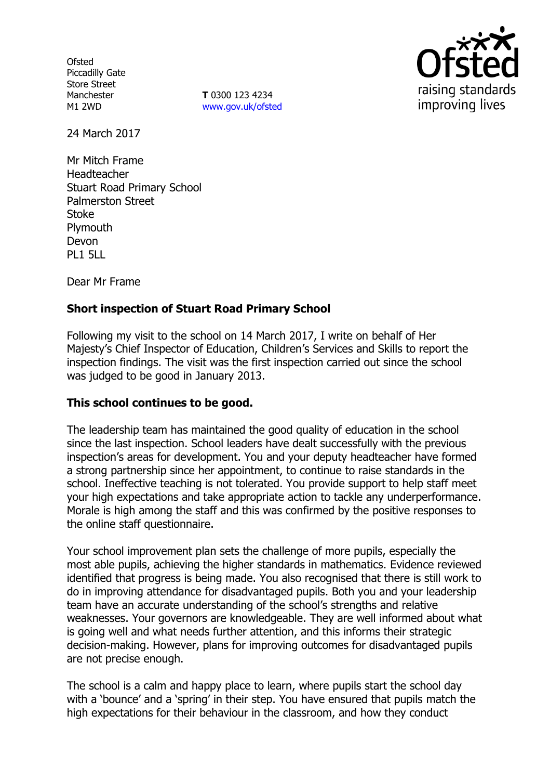**Ofsted** Piccadilly Gate Store Street Manchester M1 2WD

**T** 0300 123 4234 www.gov.uk/ofsted



24 March 2017

Mr Mitch Frame Headteacher Stuart Road Primary School Palmerston Street Stoke **Plymouth** Devon PL1 5LL

Dear Mr Frame

## **Short inspection of Stuart Road Primary School**

Following my visit to the school on 14 March 2017, I write on behalf of Her Majesty's Chief Inspector of Education, Children's Services and Skills to report the inspection findings. The visit was the first inspection carried out since the school was judged to be good in January 2013.

### **This school continues to be good.**

The leadership team has maintained the good quality of education in the school since the last inspection. School leaders have dealt successfully with the previous inspection's areas for development. You and your deputy headteacher have formed a strong partnership since her appointment, to continue to raise standards in the school. Ineffective teaching is not tolerated. You provide support to help staff meet your high expectations and take appropriate action to tackle any underperformance. Morale is high among the staff and this was confirmed by the positive responses to the online staff questionnaire.

Your school improvement plan sets the challenge of more pupils, especially the most able pupils, achieving the higher standards in mathematics. Evidence reviewed identified that progress is being made. You also recognised that there is still work to do in improving attendance for disadvantaged pupils. Both you and your leadership team have an accurate understanding of the school's strengths and relative weaknesses. Your governors are knowledgeable. They are well informed about what is going well and what needs further attention, and this informs their strategic decision-making. However, plans for improving outcomes for disadvantaged pupils are not precise enough.

The school is a calm and happy place to learn, where pupils start the school day with a 'bounce' and a 'spring' in their step. You have ensured that pupils match the high expectations for their behaviour in the classroom, and how they conduct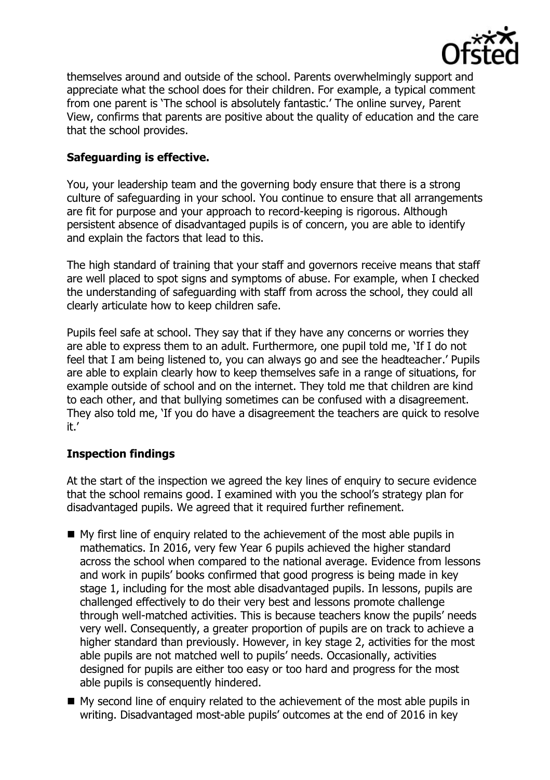

themselves around and outside of the school. Parents overwhelmingly support and appreciate what the school does for their children. For example, a typical comment from one parent is 'The school is absolutely fantastic.' The online survey, Parent View, confirms that parents are positive about the quality of education and the care that the school provides.

## **Safeguarding is effective.**

You, your leadership team and the governing body ensure that there is a strong culture of safeguarding in your school. You continue to ensure that all arrangements are fit for purpose and your approach to record-keeping is rigorous. Although persistent absence of disadvantaged pupils is of concern, you are able to identify and explain the factors that lead to this.

The high standard of training that your staff and governors receive means that staff are well placed to spot signs and symptoms of abuse. For example, when I checked the understanding of safeguarding with staff from across the school, they could all clearly articulate how to keep children safe.

Pupils feel safe at school. They say that if they have any concerns or worries they are able to express them to an adult. Furthermore, one pupil told me, 'If I do not feel that I am being listened to, you can always go and see the headteacher.' Pupils are able to explain clearly how to keep themselves safe in a range of situations, for example outside of school and on the internet. They told me that children are kind to each other, and that bullying sometimes can be confused with a disagreement. They also told me, 'If you do have a disagreement the teachers are quick to resolve it.'

# **Inspection findings**

At the start of the inspection we agreed the key lines of enguiry to secure evidence that the school remains good. I examined with you the school's strategy plan for disadvantaged pupils. We agreed that it required further refinement.

- My first line of enquiry related to the achievement of the most able pupils in mathematics. In 2016, very few Year 6 pupils achieved the higher standard across the school when compared to the national average. Evidence from lessons and work in pupils' books confirmed that good progress is being made in key stage 1, including for the most able disadvantaged pupils. In lessons, pupils are challenged effectively to do their very best and lessons promote challenge through well-matched activities. This is because teachers know the pupils' needs very well. Consequently, a greater proportion of pupils are on track to achieve a higher standard than previously. However, in key stage 2, activities for the most able pupils are not matched well to pupils' needs. Occasionally, activities designed for pupils are either too easy or too hard and progress for the most able pupils is consequently hindered.
- My second line of enguiry related to the achievement of the most able pupils in writing. Disadvantaged most-able pupils' outcomes at the end of 2016 in key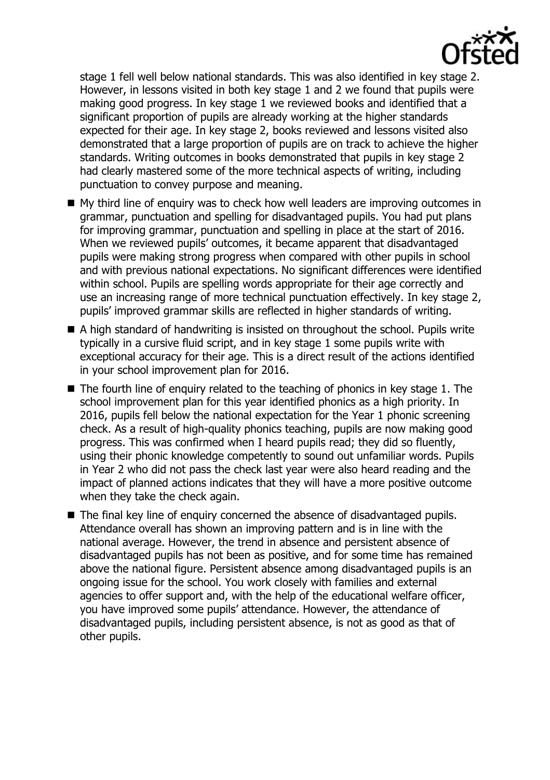

stage 1 fell well below national standards. This was also identified in key stage 2. However, in lessons visited in both key stage 1 and 2 we found that pupils were making good progress. In key stage 1 we reviewed books and identified that a significant proportion of pupils are already working at the higher standards expected for their age. In key stage 2, books reviewed and lessons visited also demonstrated that a large proportion of pupils are on track to achieve the higher standards. Writing outcomes in books demonstrated that pupils in key stage 2 had clearly mastered some of the more technical aspects of writing, including punctuation to convey purpose and meaning.

- My third line of enguiry was to check how well leaders are improving outcomes in grammar, punctuation and spelling for disadvantaged pupils. You had put plans for improving grammar, punctuation and spelling in place at the start of 2016. When we reviewed pupils' outcomes, it became apparent that disadvantaged pupils were making strong progress when compared with other pupils in school and with previous national expectations. No significant differences were identified within school. Pupils are spelling words appropriate for their age correctly and use an increasing range of more technical punctuation effectively. In key stage 2, pupils' improved grammar skills are reflected in higher standards of writing.
- A high standard of handwriting is insisted on throughout the school. Pupils write typically in a cursive fluid script, and in key stage 1 some pupils write with exceptional accuracy for their age. This is a direct result of the actions identified in your school improvement plan for 2016.
- The fourth line of enquiry related to the teaching of phonics in key stage 1. The school improvement plan for this year identified phonics as a high priority. In 2016, pupils fell below the national expectation for the Year 1 phonic screening check. As a result of high-quality phonics teaching, pupils are now making good progress. This was confirmed when I heard pupils read; they did so fluently, using their phonic knowledge competently to sound out unfamiliar words. Pupils in Year 2 who did not pass the check last year were also heard reading and the impact of planned actions indicates that they will have a more positive outcome when they take the check again.
- The final key line of enquiry concerned the absence of disadvantaged pupils. Attendance overall has shown an improving pattern and is in line with the national average. However, the trend in absence and persistent absence of disadvantaged pupils has not been as positive, and for some time has remained above the national figure. Persistent absence among disadvantaged pupils is an ongoing issue for the school. You work closely with families and external agencies to offer support and, with the help of the educational welfare officer, you have improved some pupils' attendance. However, the attendance of disadvantaged pupils, including persistent absence, is not as good as that of other pupils.